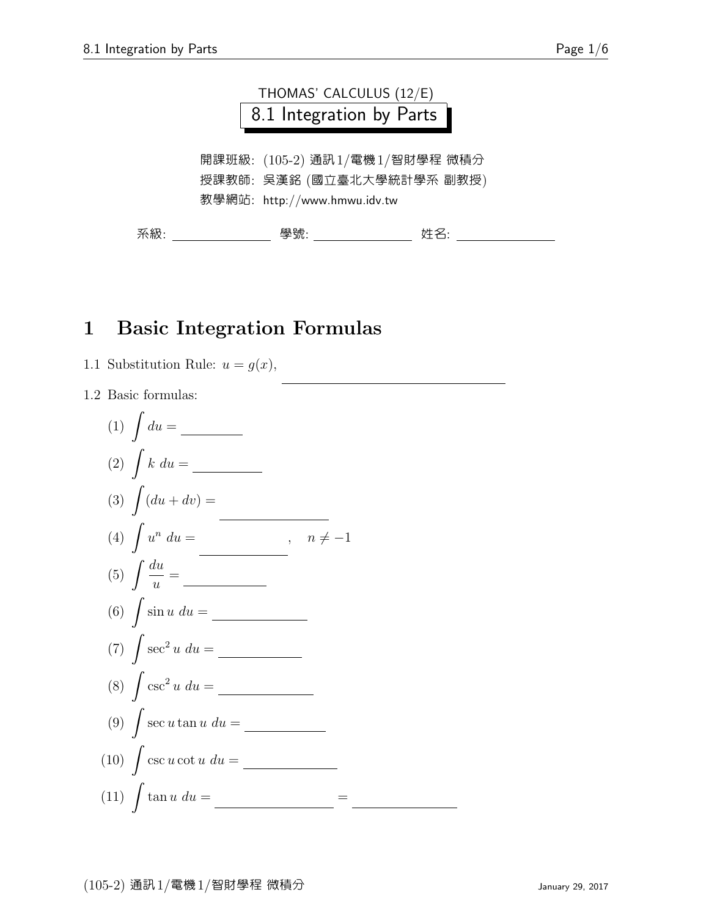

## 1 Basic Integration Formulas

#### 1.1 Substitution Rule:  $u = g(x)$ ,

1.2 Basic formulas:

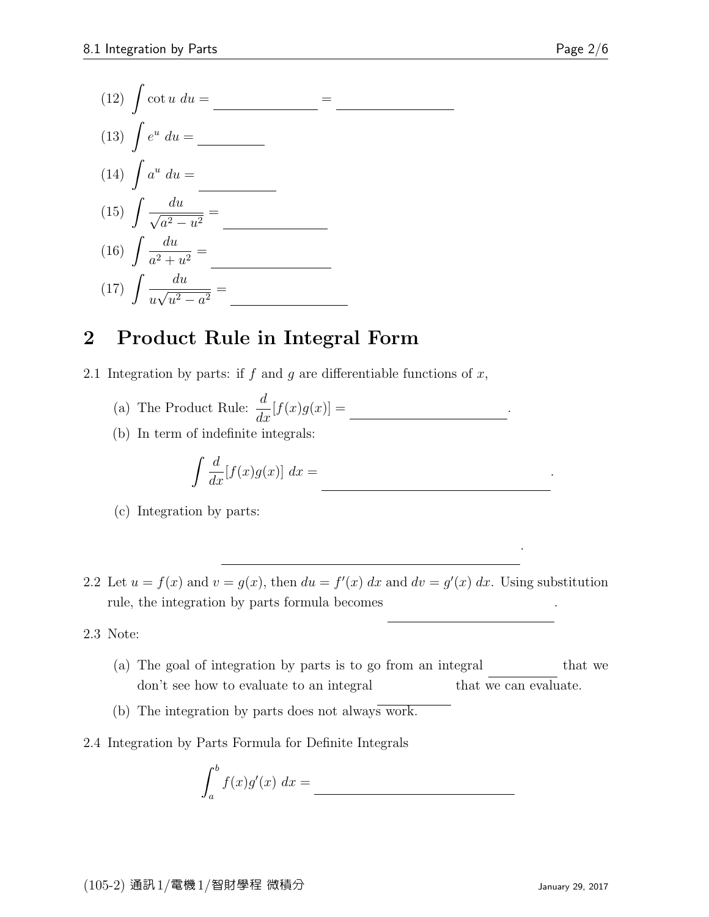(12) 
$$
\int \cot u \, du =
$$
 \_\_\_\_\_\_  
\n(13)  $\int e^u \, du =$  \_\_\_\_\_\_  
\n(14)  $\int a^u \, du =$  \_\_\_\_\_\_  
\n(15)  $\int \frac{du}{\sqrt{a^2 - u^2}} =$  \_\_\_\_\_\_  
\n(16)  $\int \frac{du}{a^2 + u^2} =$  \_\_\_\_\_\_  
\n(17)  $\int \frac{du}{u\sqrt{u^2 - a^2}} =$  \_\_\_\_\_\_  
\n(17)  $\int \frac{du}{u\sqrt{u^2 - a^2}} =$  \_\_\_\_\_\_  
\n20.

### 2 Product Rule in Integral Form

- 2.1 Integration by parts: if f and g are differentiable functions of  $x$ ,
	- (a) The Product Rule:  $\frac{d}{dt}$  $\frac{d}{dx}[f(x)g(x)] =$
	- (b) In term of indefinite integrals:

$$
\int \frac{d}{dx} [f(x)g(x)] dx =
$$

- (c) Integration by parts:
- 2.2 Let  $u = f(x)$  and  $v = g(x)$ , then  $du = f'(x) dx$  and  $dv = g'(x) dx$ . Using substitution rule, the integration by parts formula becomes  $\mathcal{L}^{\mathcal{L}}$  due to .

2.3 Note:

- (a) The goal of integration by parts is to go from an integral that we don't see how to evaluate to an integral that we can evaluate.
- (b) The integration by parts does not always work.
- 2.4 Integration by Parts Formula for Definite Integrals

$$
\int_{a}^{b} f(x)g'(x) \ dx =
$$

 $(x)$  dx .

 $\mathcal{L}(\mathcal{L}(\mathcal{L}(\mathcal{L}(\mathcal{L}(\mathcal{L}(\mathcal{L}(\mathcal{L}(\mathcal{L}(\mathcal{L}(\mathcal{L}(\mathcal{L}(\mathcal{L}(\mathcal{L}(\mathcal{L}(\mathcal{L}(\mathcal{L}(\mathcal{L}(\mathcal{L}(\mathcal{L}(\mathcal{L}(\mathcal{L}(\mathcal{L}(\mathcal{L}(\mathcal{L}(\mathcal{L}(\mathcal{L}(\mathcal{L}(\mathcal{L}(\mathcal{L}(\mathcal{L}(\mathcal{L}(\mathcal{L}(\mathcal{L}(\mathcal{L}(\mathcal{L}(\mathcal{$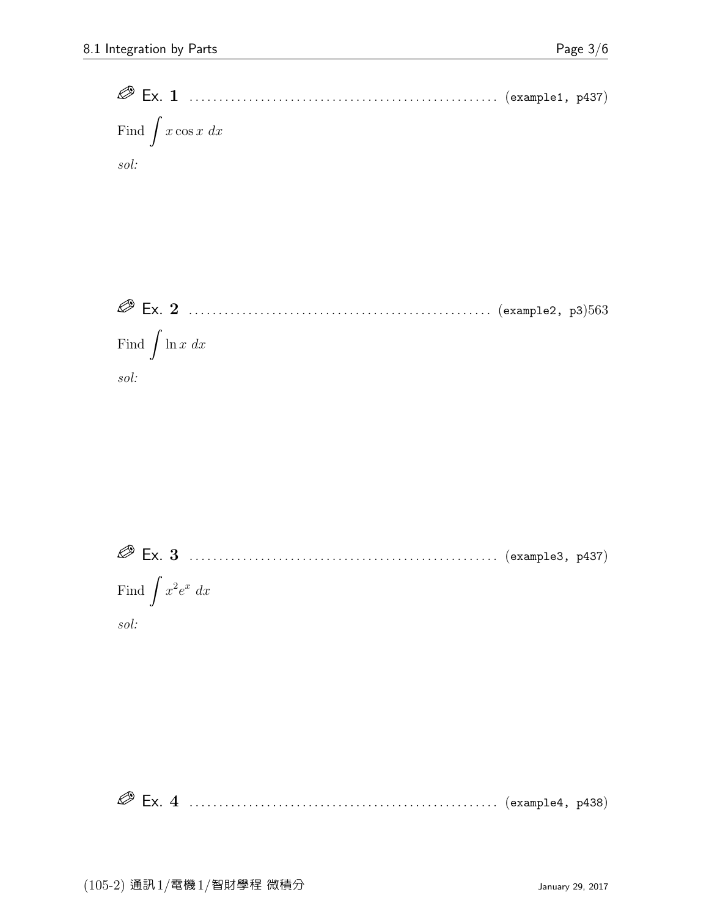

 Ex. 3 . . . . . . . . . . . . . . . . . . . . . . . . . . . . . . . . . . . . . . . . . . . . . . . . . . . . (example3, p437) Find  $\int x^2 e^x dx$ 

sol:

Ex. 4 . . . . . . . . . . . . . . . . . . . . . . . . . . . . . . . . . . . . . . . . . . . . . . . . . . . . (example4, p438)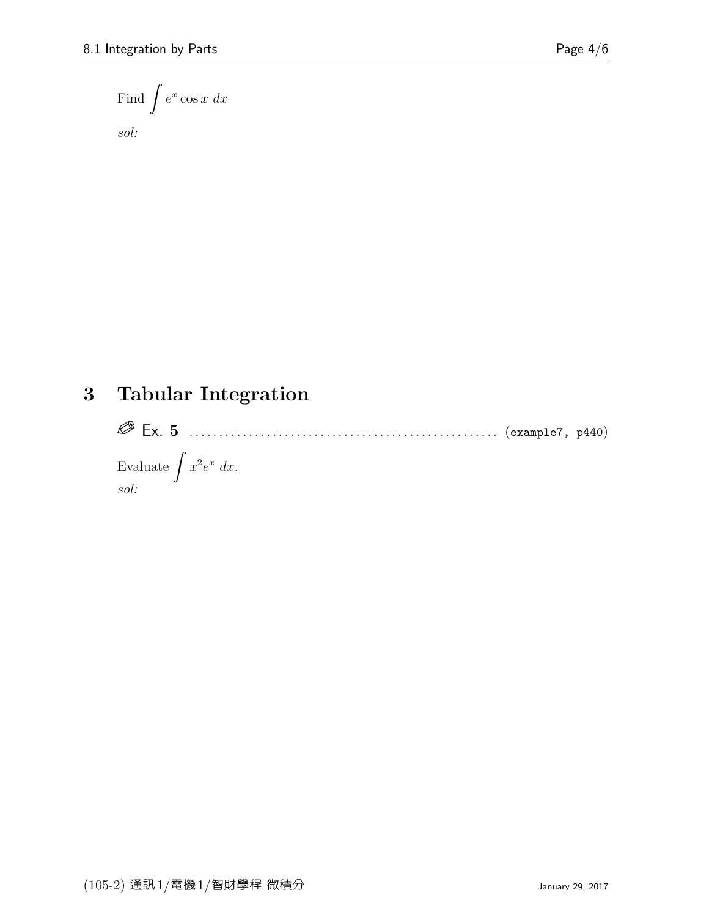Find 
$$
\int e^x \cos x \ dx
$$

sol:

# 3 Tabular Integration

 Ex. 5 . . . . . . . . . . . . . . . . . . . . . . . . . . . . . . . . . . . . . . . . . . . . . . . . . . . . (example7, p440) Evaluate  $\int x^2 e^x dx$ . sol: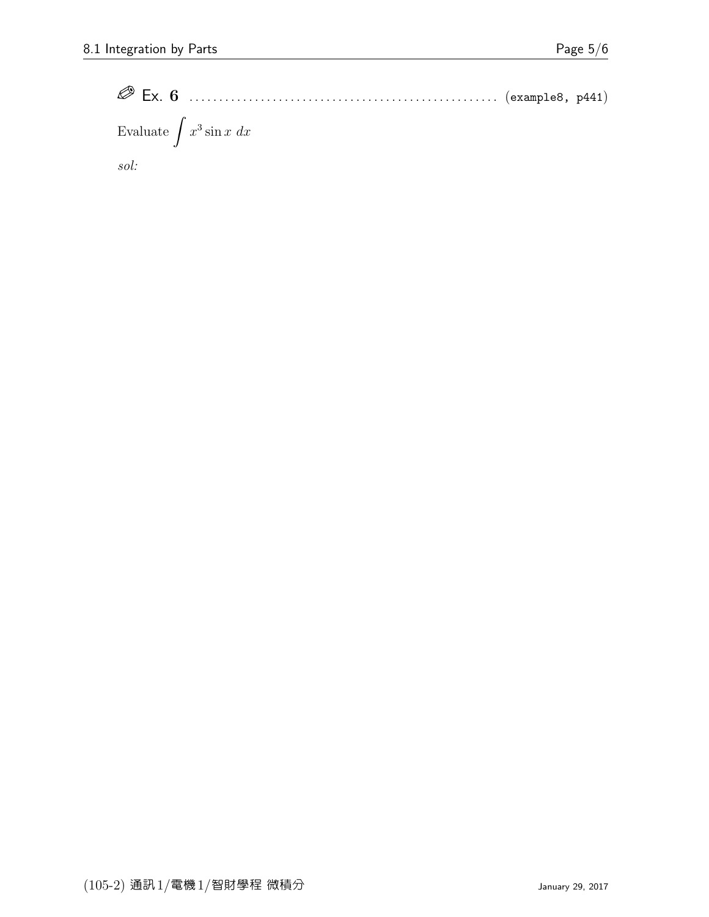Ex. 6 . . . . . . . . . . . . . . . . . . . . . . . . . . . . . . . . . . . . . . . . . . . . . . . . . . . . (example8, p441) Evaluate  $\int x^3 \sin x \ dx$ sol: